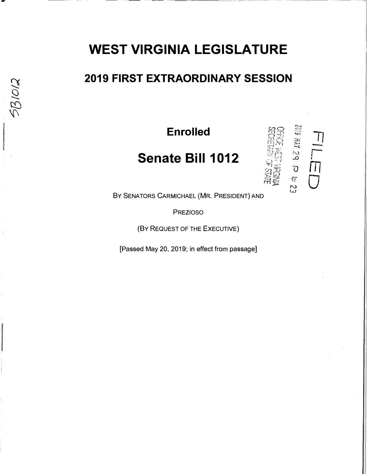## **WEST VIRGINIA LEGISLATURE**

### **2019 FIRST EXTRAORDINARY SESSION**

**Enrolled** 

## **Senate Bill 1012**



BY SENATORS CARMICHAEL (MR. PRESIDENT) AND

PREZIOSO

(BY REQUEST OF THE EXECUTIVE)

[Passed May 20, 2019; in effect from passage]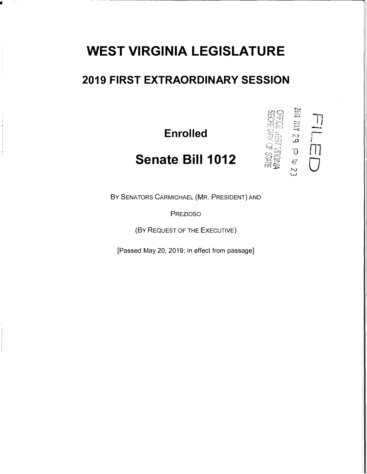# **WEST VIRGINIA LEGISLATURE**

### **2019 FIRST EXTRAORDINARY SESSION**

**Enrolled** 

## **Senate Bill 1012**

BY SENATORS CARMICHAEL (MR. PRESIDENT) AND

PREZIOSO

(BY REQUEST OF THE EXECUTIVE)

[Passed May 20, 2019; in effect from passage]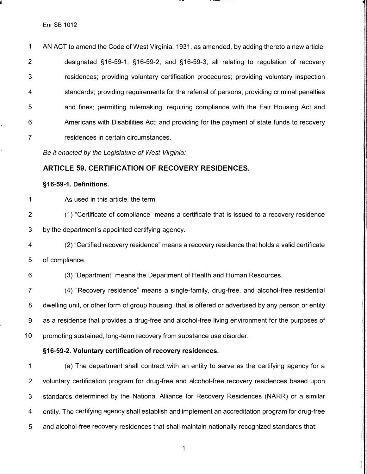1 AN ACT to amend the Code of West Virginia, 1931, as amended, by adding thereto a new article, 2 designated §16-59-1, §16-59-2, and §16-59-3, all relating to regulation of recovery 3 residences; providing voluntary certification procedures; providing voluntary inspection 4 standards; providing requirements for the referral of persons; providing criminal penalties 5 and fines; permitting rulemaking; requiring compliance with the Fair Housing Act and 6 Americans with Disabilities Act; and providing for the payment of state funds to recovery 7 residences in certain circumstances.

*Be it enacted by the Legislature of West Virginia:* 

#### **ARTICLE 59. CERTIFICATION OF RECOVERY RESIDENCES.**

#### **§16-59-1. Definitions.**

- 1 As used in this article, the term:
- 2 (1) "Certificate of compliance" means a certificate that is issued to a recovery residence

3 by the department's appointed certifying agency.

4 (2) "Certified recovery residence" means a recovery residence that holds a valid certificate 5 of compliance.

6 (3) "Department" means the Department of Health and Human Resources.

7 ( 4) "Recovery residence" means a single-family, drug-free, and alcohol-free residential 8 dwelling unit, or other form of group housing, that is offered or advertised by any person or entity 9 as a residence that provides a drug-free and alcohol-free living environment for the purposes of 10 promoting sustained, long-term recovery from substance use disorder.

#### **§16-59-2. Voluntary certification of recovery residences.**

1 (a) The department shall contract with an entity to serve as the certifying agency for a 2 voluntary certification program for drug-free and alcohol-free recovery residences based upon 3 standards determined by the National Alliance for Recovery Residences (NARR) or a similar 4 entity. The certifying agency shall establish and implement an accreditation program for drug-free 5 and alcohol-free recovery residences that shall maintain nationally recognized standards that: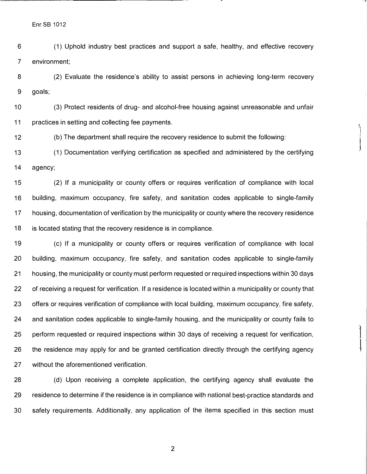Enr SB 1012

6 (1) Uphold industry best practices and support a safe, healthy, and effective recovery 7 environment;

8 (2) Evaluate the residence's ability to assist persons in achieving long-term recovery 9 goals;

10 (3) Protect residents of drug- and alcohol-free housing against unreasonable and unfair 11 practices in setting and collecting fee payments.

12 (b) The department shall require the recovery residence to submit the following:

13 (1) Documentation verifying certification as specified and administered by the certifying 14 agency;

15 (2) If a municipality or county offers or requires verification of compliance with local 16 building, maximum occupancy, fire safety, and sanitation codes applicable to single-family 17 housing, documentation of verification by the municipality or county where the recovery residence 18 is located stating that the recovery residence is in compliance.

19 ( c) If a municipality or county offers or requires verification of compliance with local 20 building, maximum occupancy, fire safety, and sanitation codes applicable to single-family 21 housing, the municipality or county must perform requested or required inspections within 30 days 22 of receiving a request for verification. If a residence is located within a municipality or county that 23 offers or requires verification of compliance with local building, maximum occupancy, fire safety, 24 and sanitation codes applicable to single-family housing, and the municipality or county fails to 25 perform requested or required inspections within 30 days of receiving a request for verification, 26 the residence may apply for and be granted certification directly through the certifying agency 27 without the aforementioned verification.

28 (d) Upon receiving a complete application, the certifying agency shall evaluate the 29 residence to determine if the residence is in compliance with national best-practice standards and 30 safety requirements. Additionally, any application of the items specified in this section must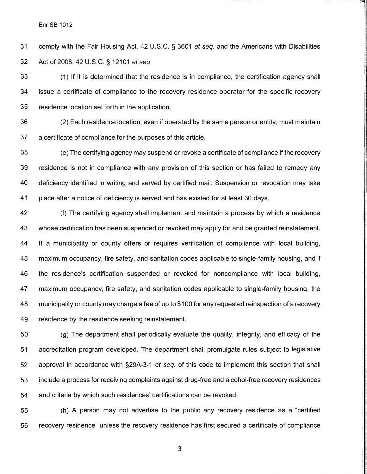31 comply with the Fair Housing Act, 42 U.S.C. § 3601 *et* seq. and the Americans with Disabilities 32 Act of 2008, 42 U.S.C. § 12101 *et* seq.

33 (1) If it is determined that the residence is in compliance, the certification agency shall 34 issue a certificate of compliance to the recovery residence operator for the specific recovery 35 residence location set forth in the application.

36 (2) Each residence location, even if operated by the same person or entity, must maintain 37 a certificate of compliance for the purposes of this article.

38 ( e) The certifying agency may suspend or revoke a certificate of compliance if the recovery 39 residence is not in compliance with any provision of this section or has failed to remedy any 40 deficiency identified in writing and served by certified mail. Suspension or revocation may take 41 place after a notice of deficiency is served and has existed for at least 30 days.

42 (f) The certifying agency shall implement and maintain a process by which a residence 43 whose certification has been suspended or revoked may apply for and be granted reinstatement. 44 If a municipality or county offers or requires verification of compliance with local building, 45 maximum occupancy, fire safety, and sanitation codes applicable to single-family housing, and if 46 the residence's certification suspended or revoked for noncompliance with local building, 47 maximum occupancy, fire safety, and sanitation codes applicable to single-family housing, the 48 municipality or county may charge a fee of up to \$100 for any requested reinspection of a recovery 49 residence by the residence seeking reinstatement.

50 (g) The department shall periodically evaluate the quality, integrity, and efficacy of the 51 accreditation program developed. The department shall promulgate rules subject to legislative 52 approval in accordance with §29A-3-1 *et* seq. of this code to implement this section that shall 53 include a process for receiving complaints against drug-free and alcohol-free recovery residences 54 and criteria by which such residences' certifications can be revoked.

55 (h) A person may not advertise to the public any recovery residence as a "certified 56 recovery residence" unless the recovery residence has first secured a certificate of compliance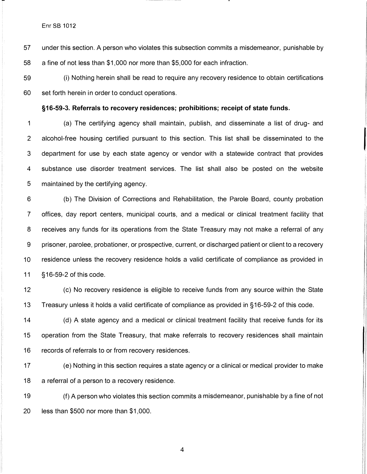Enr SB 1012

57 under this section. A person who violates this subsection commits a misdemeanor, punishable by

58 a fine of not less than \$1,000 nor more than \$5,000 for each infraction.

59 (i) Nothing herein shall be read to require any recovery residence to obtain certifications 60 set forth herein in order to conduct operations.

#### **§16-59-3. Referrals to recovery residences; prohibitions; receipt of state funds.**

1 (a) The certifying agency shall maintain, publish, and disseminate a list of drug- and 2 alcohol-free housing certified pursuant to this section. This list shall be disseminated to the 3 department for use by each state agency or vendor with a statewide contract that provides 4 substance use disorder treatment services. The list shall also be posted on the website 5 maintained by the certifying agency.

6 (b) The Division of Corrections and Rehabilitation, the Parole Board, county probation 7 offices, day report centers, municipal courts, and a medical or clinical treatment facility that 8 receives any funds for its operations from the State Treasury may not make a referral of any 9 prisoner, parolee, probationer, or prospective, current, or discharged patient or client to a recovery 10 residence unless the recovery residence holds a valid certificate of compliance as provided in 11 §16-59-2 of this code.

12 (c) No recovery residence is eligible to receive funds from any source within the State 13 Treasury unless it holds a valid certificate of compliance as provided in § 16-59-2 of this code.

14 (d) A state agency and a medical or clinical treatment facility that receive funds for its 15 operation from the State Treasury, that make referrals to recovery residences shall maintain 16 records of referrals to or from recovery residences.

17 ( e) Nothing in this section requires a state agency or a clinical or medical provider to make 18 a referral of a person to a recovery residence.

19 (f) A person who violates this section commits a misdemeanor, punishable by a fine of not 20 less than \$500 nor more than \$1,000.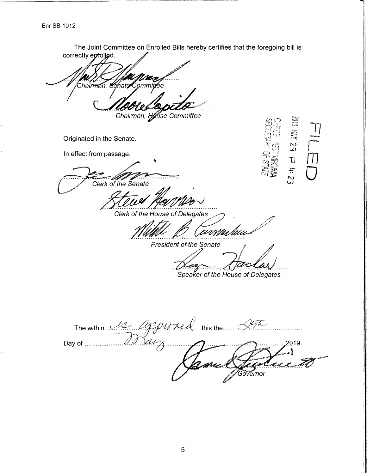Enr SB 1012

The Joint Committee on Enrolled Bills hereby certifies that the foregoing bill is correctly eprolled. Chairman, *Sc*hate⁄ Committee Chairman, House Committee **PS XM 618** Originated in the Senate. In effect from passage. Ù  $\overline{a}$ Clerk of the Senate S<br>S ----------<br>--------Clerk of the House of Delegates anma huu **President of the Senate** Speaker of the House of Delegates The within la appured this the . . . . . . )<br>sarz  $\mathscr{Q} \mathscr{Q}$ Day of .................... 2019. Governor